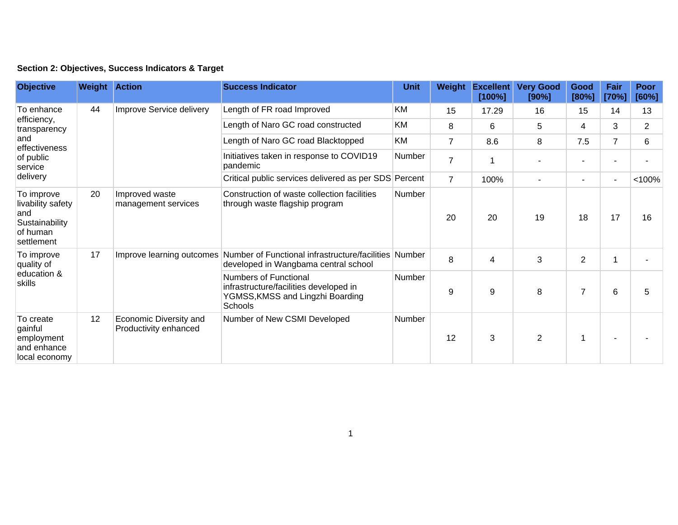## **Section 2: Objectives, Success Indicators & Target**

| <b>Objective</b>                                                                                      | <b>Weight Action</b> |                                                 | <b>Success Indicator</b>                                                                                       | <b>Unit</b>   | Weight         | <b>Excellent</b><br>[100%] | <b>Very Good</b><br>[90%] | Good<br>[80%]  | Fair<br>[70%]            | <b>Poor</b><br>[60%] |
|-------------------------------------------------------------------------------------------------------|----------------------|-------------------------------------------------|----------------------------------------------------------------------------------------------------------------|---------------|----------------|----------------------------|---------------------------|----------------|--------------------------|----------------------|
| To enhance<br>efficiency,<br>transparency<br>and<br>effectiveness<br>of public<br>service<br>delivery | 44                   | Improve Service delivery                        | Length of FR road Improved                                                                                     | KM            | 15             | 17.29                      | 16                        | 15             | 14                       | 13                   |
|                                                                                                       |                      |                                                 | Length of Naro GC road constructed                                                                             | KM            | 8              | 6                          | 5                         | 4              | 3                        | $\overline{2}$       |
|                                                                                                       |                      |                                                 | Length of Naro GC road Blacktopped                                                                             | KM            | $\overline{7}$ | 8.6                        | 8                         | 7.5            | $\overline{7}$           | 6                    |
|                                                                                                       |                      |                                                 | Initiatives taken in response to COVID19<br>pandemic                                                           | Number        | $\overline{7}$ |                            |                           | ٠              |                          |                      |
|                                                                                                       |                      |                                                 | Critical public services delivered as per SDS Percent                                                          |               | $\overline{7}$ | 100%                       | $\blacksquare$            | ٠              | $\overline{\phantom{a}}$ | < 100%               |
| To improve<br>livability safety<br>and<br>Sustainability<br>of human<br>settlement                    | 20                   | Improved waste<br>management services           | Construction of waste collection facilities<br>through waste flagship program                                  | Number        | 20             | 20                         | 19                        | 18             | 17                       | 16                   |
| To improve<br>quality of<br>education &<br>skills                                                     | 17                   | Improve learning outcomes                       | Number of Functional infrastructure/facilities Number<br>developed in Wangbama central school                  |               | 8              | 4                          | 3                         | $\overline{2}$ |                          |                      |
|                                                                                                       |                      |                                                 | Numbers of Functional<br>infrastructure/facilities developed in<br>YGMSS, KMSS and Lingzhi Boarding<br>Schools | <b>Number</b> | 9              | 9                          | 8                         | $\overline{7}$ | 6                        | 5                    |
| To create<br>gainful<br>employment<br>and enhance<br>local economy                                    | 12                   | Economic Diversity and<br>Productivity enhanced | Number of New CSMI Developed                                                                                   | Number        | 12             | 3                          | $\overline{2}$            |                |                          |                      |